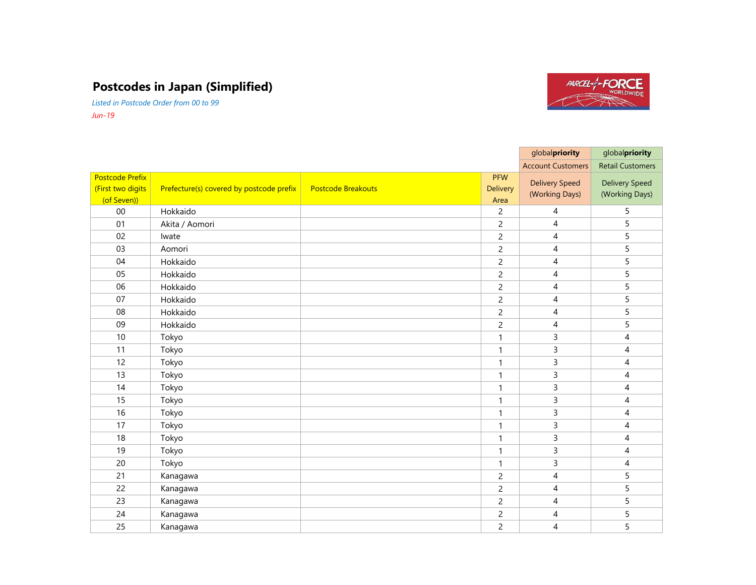## **Postcodes in Japan (Simplified)**

*Listed in Postcode Order from 00 to 99 Jun-19*



|                                                            |                                          |                           |                                       | globalpriority                          | globalpriority                          |
|------------------------------------------------------------|------------------------------------------|---------------------------|---------------------------------------|-----------------------------------------|-----------------------------------------|
|                                                            |                                          |                           |                                       | <b>Account Customers</b>                | <b>Retail Customers</b>                 |
| <b>Postcode Prefix</b><br>(First two digits<br>(of Seven)) | Prefecture(s) covered by postcode prefix | <b>Postcode Breakouts</b> | <b>PFW</b><br><b>Delivery</b><br>Area | <b>Delivery Speed</b><br>(Working Days) | <b>Delivery Speed</b><br>(Working Days) |
| 00                                                         | Hokkaido                                 |                           | $\overline{c}$                        | 4                                       | 5                                       |
| 01                                                         | Akita / Aomori                           |                           | $\overline{c}$                        | $\overline{4}$                          | 5                                       |
| 02                                                         | Iwate                                    |                           | $\overline{c}$                        | 4                                       | 5                                       |
| 03                                                         | Aomori                                   |                           | $\overline{c}$                        | 4                                       | 5                                       |
| 04                                                         | Hokkaido                                 |                           | $\overline{c}$                        | 4                                       | 5                                       |
| 05                                                         | Hokkaido                                 |                           | $\overline{c}$                        | 4                                       | 5                                       |
| 06                                                         | Hokkaido                                 |                           | $\overline{c}$                        | 4                                       | 5                                       |
| 07                                                         | Hokkaido                                 |                           | $\overline{c}$                        | 4                                       | 5                                       |
| 08                                                         | Hokkaido                                 |                           | $\overline{c}$                        | 4                                       | 5                                       |
| 09                                                         | Hokkaido                                 |                           | $\overline{c}$                        | 4                                       | 5                                       |
| 10                                                         | Tokyo                                    |                           | $\mathbf{1}$                          | 3                                       | 4                                       |
| 11                                                         | Tokyo                                    |                           | $\mathbf{1}$                          | 3                                       | $\overline{4}$                          |
| 12                                                         | Tokyo                                    |                           | $\mathbf{1}$                          | $\mathsf{3}$                            | 4                                       |
| 13                                                         | Tokyo                                    |                           | $\mathbf{1}$                          | $\mathsf{3}$                            | $\overline{4}$                          |
| 14                                                         | Tokyo                                    |                           | $\mathbf{1}$                          | 3                                       | $\overline{4}$                          |
| 15                                                         | Tokyo                                    |                           | $\mathbf{1}$                          | 3                                       | $\overline{4}$                          |
| 16                                                         | Tokyo                                    |                           | $\mathbf{1}$                          | 3                                       | 4                                       |
| 17                                                         | Tokyo                                    |                           | $\mathbf{1}$                          | 3                                       | $\overline{4}$                          |
| 18                                                         | Tokyo                                    |                           | $\mathbf{1}$                          | $\mathsf{3}$                            | $\overline{4}$                          |
| 19                                                         | Tokyo                                    |                           | $\mathbf{1}$                          | 3                                       | $\overline{4}$                          |
| 20                                                         | Tokyo                                    |                           | $\mathbf{1}$                          | $\mathsf{3}$                            | 4                                       |
| 21                                                         | Kanagawa                                 |                           | $\overline{c}$                        | 4                                       | 5                                       |
| 22                                                         | Kanagawa                                 |                           | $\overline{c}$                        | 4                                       | 5                                       |
| 23                                                         | Kanagawa                                 |                           | $\overline{c}$                        | $\overline{4}$                          | 5                                       |
| 24                                                         | Kanagawa                                 |                           | $\overline{c}$                        | 4                                       | 5                                       |
| 25                                                         | Kanagawa                                 |                           | $\overline{c}$                        | $\overline{4}$                          | 5                                       |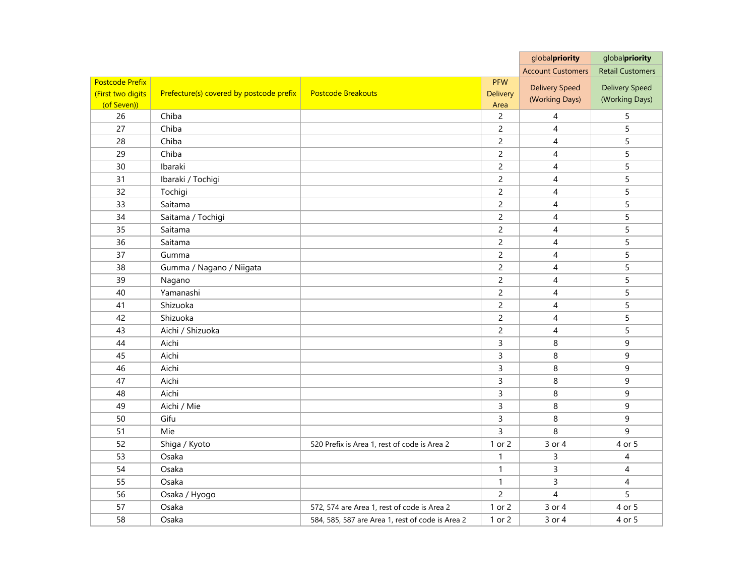|                        |                                          |                                                  |                | globalpriority           | globalpriority          |
|------------------------|------------------------------------------|--------------------------------------------------|----------------|--------------------------|-------------------------|
|                        |                                          |                                                  |                | <b>Account Customers</b> | <b>Retail Customers</b> |
| <b>Postcode Prefix</b> |                                          |                                                  | <b>PFW</b>     | <b>Delivery Speed</b>    | <b>Delivery Speed</b>   |
| (First two digits      | Prefecture(s) covered by postcode prefix | <b>Postcode Breakouts</b>                        | Delivery       | (Working Days)           | (Working Days)          |
| (of Seven))            |                                          |                                                  | Area           |                          |                         |
| 26                     | Chiba                                    |                                                  | $\overline{2}$ | $\overline{4}$           | 5                       |
| 27                     | Chiba                                    |                                                  | $\overline{c}$ | $\overline{4}$           | 5                       |
| 28                     | Chiba                                    |                                                  | $\overline{c}$ | 4                        | 5                       |
| 29                     | Chiba                                    |                                                  | $\overline{2}$ | $\overline{4}$           | 5                       |
| 30                     | Ibaraki                                  |                                                  | $\overline{2}$ | $\overline{4}$           | 5                       |
| 31                     | Ibaraki / Tochigi                        |                                                  | $\overline{c}$ | $\overline{4}$           | 5                       |
| 32                     | Tochigi                                  |                                                  | $\overline{2}$ | 4                        | 5                       |
| 33                     | Saitama                                  |                                                  | $\overline{2}$ | $\overline{4}$           | 5                       |
| 34                     | Saitama / Tochigi                        |                                                  | $\overline{2}$ | $\overline{4}$           | 5                       |
| 35                     | Saitama                                  |                                                  | $\overline{c}$ | $\overline{4}$           | 5                       |
| 36                     | Saitama                                  |                                                  | $\overline{2}$ | $\overline{4}$           | 5                       |
| 37                     | Gumma                                    |                                                  | $\overline{2}$ | $\overline{4}$           | 5                       |
| 38                     | Gumma / Nagano / Niigata                 |                                                  | $\overline{2}$ | $\overline{4}$           | 5                       |
| 39                     | Nagano                                   |                                                  | $\overline{c}$ | $\overline{4}$           | 5                       |
| 40                     | Yamanashi                                |                                                  | $\overline{2}$ | $\overline{4}$           | 5                       |
| 41                     | Shizuoka                                 |                                                  | $\overline{c}$ | $\overline{4}$           | 5                       |
| 42                     | Shizuoka                                 |                                                  | $\overline{c}$ | $\overline{4}$           | 5                       |
| 43                     | Aichi / Shizuoka                         |                                                  | $\overline{c}$ | $\overline{4}$           | 5                       |
| 44                     | Aichi                                    |                                                  | 3              | 8                        | 9                       |
| 45                     | Aichi                                    |                                                  | 3              | 8                        | 9                       |
| 46                     | Aichi                                    |                                                  | 3              | 8                        | 9                       |
| 47                     | Aichi                                    |                                                  | 3              | 8                        | 9                       |
| 48                     | Aichi                                    |                                                  | 3              | 8                        | 9                       |
| 49                     | Aichi / Mie                              |                                                  | 3              | 8                        | 9                       |
| 50                     | Gifu                                     |                                                  | 3              | 8                        | 9                       |
| 51                     | Mie                                      |                                                  | 3              | 8                        | 9                       |
| 52                     | Shiga / Kyoto                            | 520 Prefix is Area 1, rest of code is Area 2     | 1 or 2         | 3 or 4                   | 4 or 5                  |
| 53                     | Osaka                                    |                                                  | $\mathbf{1}$   | $\mathsf{3}$             | 4                       |
| 54                     | Osaka                                    |                                                  | 1              | 3                        | $\overline{4}$          |
| 55                     | Osaka                                    |                                                  | $\mathbf{1}$   | $\mathsf{3}$             | $\overline{4}$          |
| 56                     | Osaka / Hyogo                            |                                                  | $\overline{c}$ | $\overline{4}$           | 5                       |
| 57                     | Osaka                                    | 572, 574 are Area 1, rest of code is Area 2      | 1 or 2         | 3 or 4                   | 4 or 5                  |
| 58                     | Osaka                                    | 584, 585, 587 are Area 1, rest of code is Area 2 | 1 or 2         | 3 or 4                   | 4 or 5                  |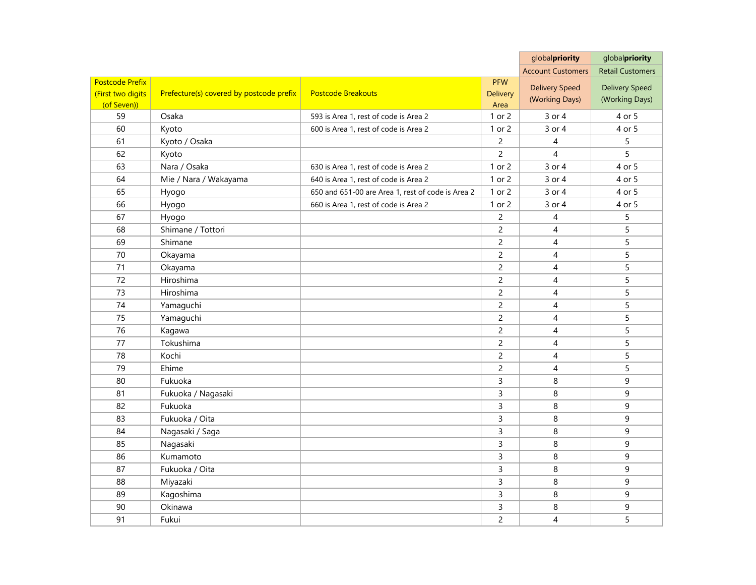|                        |                                          |                                                   |                | globalpriority           | globalpriority          |
|------------------------|------------------------------------------|---------------------------------------------------|----------------|--------------------------|-------------------------|
|                        |                                          |                                                   |                | <b>Account Customers</b> | <b>Retail Customers</b> |
| <b>Postcode Prefix</b> |                                          |                                                   | <b>PFW</b>     | <b>Delivery Speed</b>    | <b>Delivery Speed</b>   |
| (First two digits      | Prefecture(s) covered by postcode prefix | <b>Postcode Breakouts</b>                         | Delivery       | (Working Days)           | (Working Days)          |
| (of Seven))            |                                          |                                                   | Area           |                          |                         |
| 59                     | Osaka                                    | 593 is Area 1, rest of code is Area 2             | 1 or 2         | 3 or 4                   | 4 or 5                  |
| 60                     | Kyoto                                    | 600 is Area 1, rest of code is Area 2             | 1 or 2         | 3 or 4                   | 4 or 5                  |
| 61                     | Kyoto / Osaka                            |                                                   | $\overline{c}$ | 4                        | 5                       |
| 62                     | Kyoto                                    |                                                   | $\overline{c}$ | $\overline{4}$           | 5                       |
| 63                     | Nara / Osaka                             | 630 is Area 1, rest of code is Area 2             | 1 or 2         | 3 or 4                   | 4 or 5                  |
| 64                     | Mie / Nara / Wakayama                    | 640 is Area 1, rest of code is Area 2             | 1 or 2         | 3 or 4                   | 4 or 5                  |
| 65                     | Hyogo                                    | 650 and 651-00 are Area 1, rest of code is Area 2 | 1 or 2         | 3 or 4                   | 4 or 5                  |
| 66                     | Hyogo                                    | 660 is Area 1, rest of code is Area 2             | 1 or 2         | 3 or 4                   | 4 or 5                  |
| 67                     | Hyogo                                    |                                                   | $\overline{c}$ | 4                        | 5                       |
| 68                     | Shimane / Tottori                        |                                                   | $\overline{c}$ | $\overline{4}$           | 5                       |
| 69                     | Shimane                                  |                                                   | $\overline{c}$ | $\overline{4}$           | 5                       |
| 70                     | Okayama                                  |                                                   | $\overline{c}$ | 4                        | 5                       |
| 71                     | Okayama                                  |                                                   | $\overline{c}$ | $\overline{4}$           | 5                       |
| 72                     | Hiroshima                                |                                                   | $\overline{c}$ | $\overline{4}$           | 5                       |
| 73                     | Hiroshima                                |                                                   | $\overline{c}$ | 4                        | 5                       |
| 74                     | Yamaguchi                                |                                                   | $\overline{c}$ | $\overline{4}$           | 5                       |
| 75                     | Yamaguchi                                |                                                   | $\overline{c}$ | $\overline{4}$           | 5                       |
| 76                     | Kagawa                                   |                                                   | $\overline{c}$ | 4                        | 5                       |
| 77                     | Tokushima                                |                                                   | $\overline{c}$ | 4                        | 5                       |
| 78                     | Kochi                                    |                                                   | $\overline{c}$ | 4                        | 5                       |
| 79                     | Ehime                                    |                                                   | $\overline{c}$ | 4                        | 5                       |
| 80                     | Fukuoka                                  |                                                   | $\overline{3}$ | 8                        | 9                       |
| 81                     | Fukuoka / Nagasaki                       |                                                   | 3              | 8                        | 9                       |
| 82                     | Fukuoka                                  |                                                   | 3              | 8                        | 9                       |
| 83                     | Fukuoka / Oita                           |                                                   | $\overline{3}$ | 8                        | 9                       |
| 84                     | Nagasaki / Saga                          |                                                   | 3              | 8                        | 9                       |
| 85                     | Nagasaki                                 |                                                   | $\overline{3}$ | 8                        | 9                       |
| 86                     | Kumamoto                                 |                                                   | 3              | 8                        | 9                       |
| 87                     | Fukuoka / Oita                           |                                                   | 3              | 8                        | 9                       |
| 88                     | Miyazaki                                 |                                                   | $\overline{3}$ | 8                        | 9                       |
| 89                     | Kagoshima                                |                                                   | 3              | 8                        | 9                       |
| 90                     | Okinawa                                  |                                                   | 3              | 8                        | 9                       |
| 91                     | Fukui                                    |                                                   | $\overline{c}$ | $\overline{4}$           | 5                       |